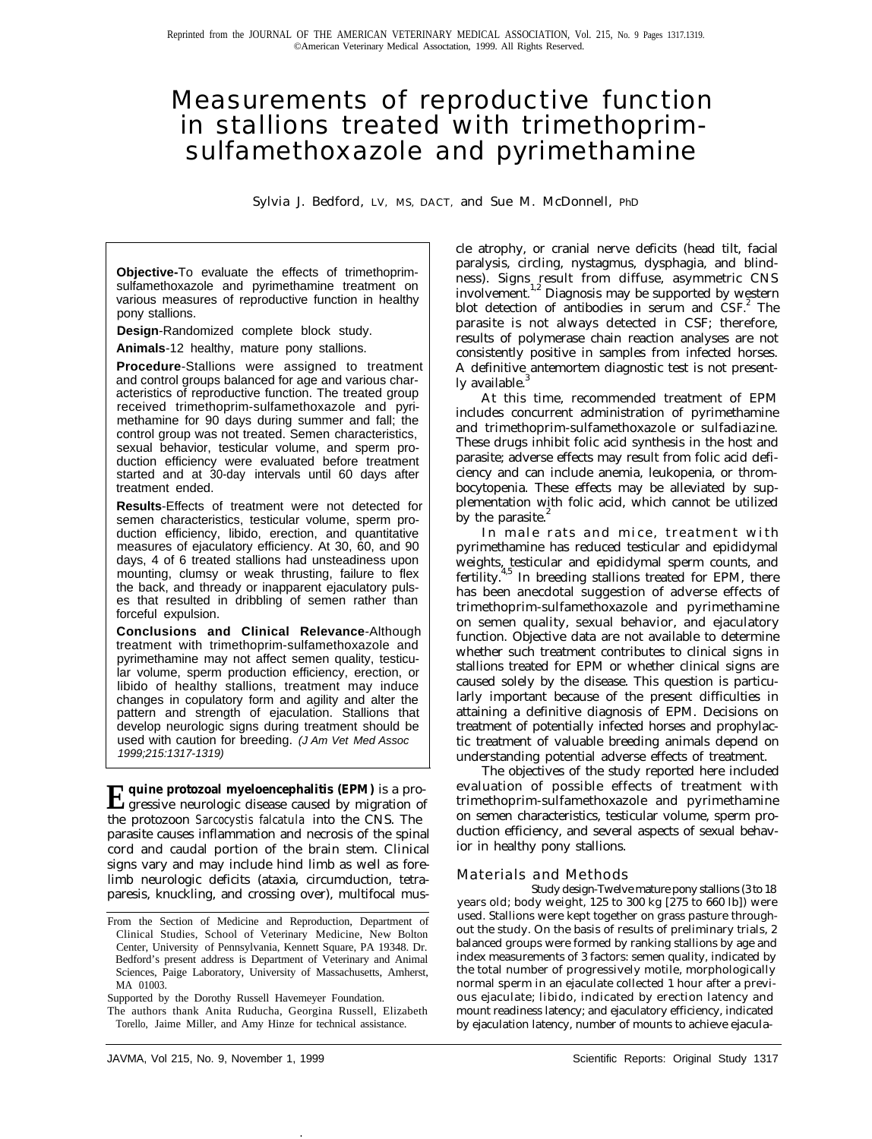## Measurements of reproductive function in stallions treated with trimethoprimsulfamethoxazole and pyrimethamine

Sylvia J. Bedford, LV, MS, DACT, and Sue M. McDonnell, PhD

**Objective-**To evaluate the effects of trimethoprimsulfamethoxazole and pyrimethamine treatment on various measures of reproductive function in healthy pony stallions.

**Design**-Randomized complete block study.

**Animals**-12 healthy, mature pony stallions.

**Procedure**-Stallions were assigned to treatment and control groups balanced for age and various characteristics of reproductive function. The treated group received trimethoprim-sulfamethoxazole and pyrimethamine for 90 days during summer and fall; the control group was not treated. Semen characteristics, sexual behavior, testicular volume, and sperm production efficiency were evaluated before treatment started and at 30-day intervals until 60 days after treatment ended.

**Results**-Effects of treatment were not detected for semen characteristics, testicular volume, sperm production efficiency, libido, erection, and quantitative measures of ejaculatory efficiency. At 30, 60, and 90 days, 4 of 6 treated stallions had unsteadiness upon mounting, clumsy or weak thrusting, failure to flex the back, and thready or inapparent ejaculatory pulses that resulted in dribbling of semen rather than forceful expulsion.

**Conclusions and Clinical Relevance**-Although treatment with trimethoprim-sulfamethoxazole and pyrimethamine may not affect semen quality, testicular volume, sperm production efficiency, erection, or libido of healthy stallions, treatment may induce changes in copulatory form and agility and alter the pattern and strength of ejaculation. Stallions that develop neurologic signs during treatment should be used with caution for breeding. *(J Am Vet Med Assoc 1999;215:1317-1319)*

**Equine protozoal myeloencephalitis (EPM)** is a pro-gressive neurologic disease caused by migration of the protozoon *Sarcocystis falcatula* into the CNS. The parasite causes inflammation and necrosis of the spinal cord and caudal portion of the brain stem. Clinical signs vary and may include hind limb as well as forelimb neurologic deficits (ataxia, circumduction, tetraparesis, knuckling, and crossing over), multifocal mus-

.

cle atrophy, or cranial nerve deficits (head tilt, facial paralysis, circling, nystagmus, dysphagia, and blindness). Signs result from diffuse, asymmetric CNS involvement.<sup>1,2</sup> Diagnosis may be supported by western blot detection of antibodies in serum and  $CSE<sup>2</sup>$ . The parasite is not always detected in CSF; therefore, results of polymerase chain reaction analyses are not consistently positive in samples from infected horses. A definitive antemortem diagnostic test is not presently available.

At this time, recommended treatment of EPM includes concurrent administration of pyrimethamine and trimethoprim-sulfamethoxazole or sulfadiazine. These drugs inhibit folic acid synthesis in the host and parasite; adverse effects may result from folic acid deficiency and can include anemia, leukopenia, or thrombocytopenia. These effects may be alleviated by supplementation with folic acid, which cannot be utilized by the parasite.<sup>2</sup>

In male rats and mice, treatment with pyrimethamine has reduced testicular and epididymal weights, testicular and epididymal sperm counts, and fertility. $4,5$  In breeding stallions treated for EPM, there has been anecdotal suggestion of adverse effects of trimethoprim-sulfamethoxazole and pyrimethamine on semen quality, sexual behavior, and ejaculatory function. Objective data are not available to determine whether such treatment contributes to clinical signs in stallions treated for EPM or whether clinical signs are caused solely by the disease. This question is particularly important because of the present difficulties in attaining a definitive diagnosis of EPM. Decisions on treatment of potentially infected horses and prophylactic treatment of valuable breeding animals depend on understanding potential adverse effects of treatment.

The objectives of the study reported here included evaluation of possible effects of treatment with trimethoprim-sulfamethoxazole and pyrimethamine on semen characteristics, testicular volume, sperm production efficiency, and several aspects of sexual behavior in healthy pony stallions.

## Materials and Methods

Study design-Twelve mature pony stallions (3 to 18 years old; body weight, 125 to 300 kg [275 to 660 lb]) were used. Stallions were kept together on grass pasture throughout the study. On the basis of results of preliminary trials, 2 balanced groups were formed by ranking stallions by age and index measurements of 3 factors: semen quality, indicated by the total number of progressively motile, morphologically normal sperm in an ejaculate collected 1 hour after a previous ejaculate; libido, indicated by erection latency and mount readiness latency; and ejaculatory efficiency, indicated by ejaculation latency, number of mounts to achieve ejacula-

From the Section of Medicine and Reproduction, Department of Clinical Studies, School of Veterinary Medicine, New Bolton Center, University of Pennsylvania, Kennett Square, PA 19348. Dr. Bedford's present address is Department of Veterinary and Animal Sciences, Paige Laboratory, University of Massachusetts, Amherst, MA 01003.

Supported by the Dorothy Russell Havemeyer Foundation.

The authors thank Anita Ruducha, Georgina Russell, Elizabeth Torello, Jaime Miller, and Amy Hinze for technical assistance.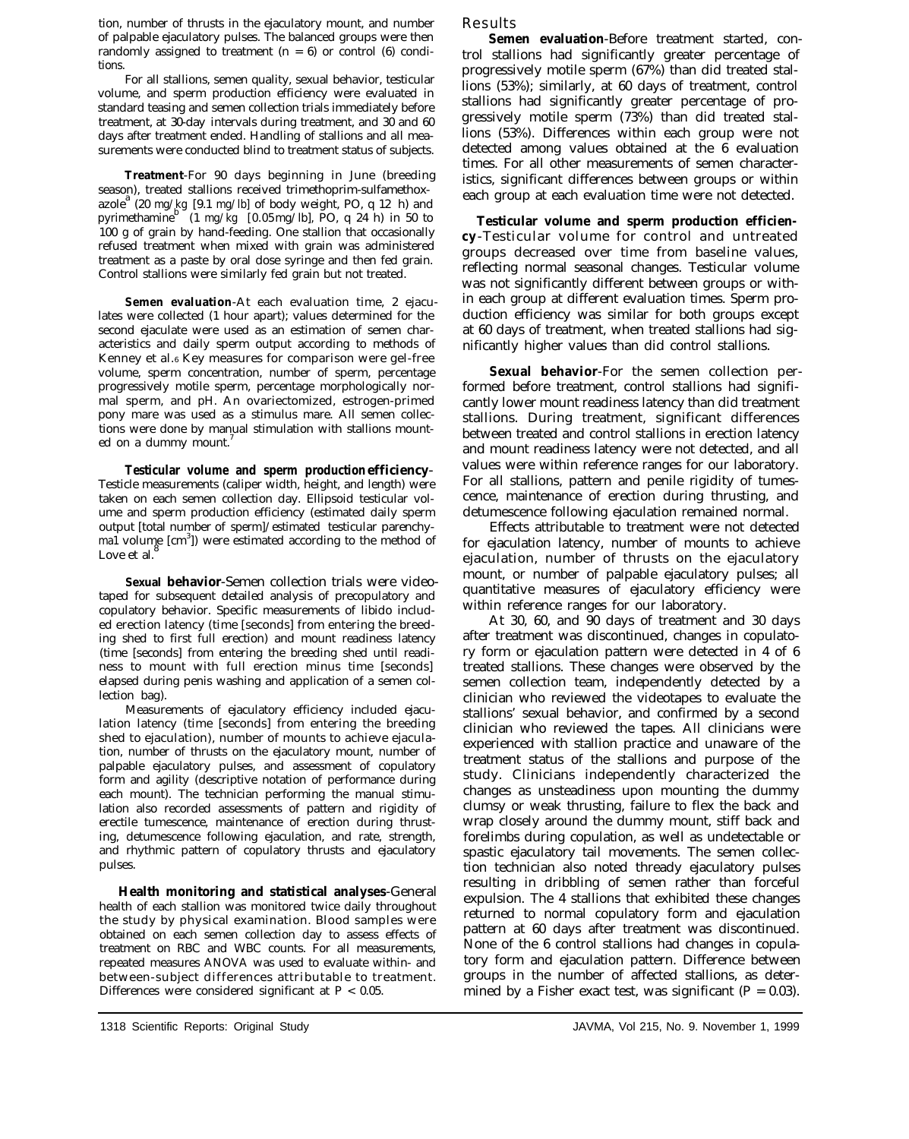tion, number of thrusts in the ejaculatory mount, and number of palpable ejaculatory pulses. The balanced groups were then randomly assigned to treatment  $(n = 6)$  or control  $(6)$  conditions.

For all stallions, semen quality, sexual behavior, testicular volume, and sperm production efficiency were evaluated in standard teasing and semen collection trials immediately before treatment, at 30-day intervals during treatment, and 30 and 60 days after treatment ended. Handling of stallions and all measurements were conducted blind to treatment status of subjects.

**Treatment**-For 90 days beginning in June (breeding season), treated stallions received trimethoprim-sulfamethox $a^2$  (20 mg/kg [9.1 mg/lb] of body weight, PO, q 12 h) and pyrimethamine<sup>b</sup> (1 mg/kg [0.05 mg/lb], PO, q 24 h) in 50 to 100 g of grain by hand-feeding. One stallion that occasionally refused treatment when mixed with grain was administered treatment as a paste by oral dose syringe and then fed grain. Control stallions were similarly fed grain but not treated.

**Semen evaluation**-At each evaluation time, 2 ejaculates were collected (1 hour apart); values determined for the second ejaculate were used as an estimation of semen characteristics and daily sperm output according to methods of Kenney et al.6 Key measures for comparison were gel-free volume, sperm concentration, number of sperm, percentage progressively motile sperm, percentage morphologically normal sperm, and pH. An ovariectomized, estrogen-primed pony mare was used as a stimulus mare. All semen collections were done by manual stimulation with stallions mounted on a dummy mount.

**Testicular volume and sperm production efficiency**-Testicle measurements (caliper width, height, and length) were taken on each semen collection day. Ellipsoid testicular volume and sperm production efficiency (estimated daily sperm output [total number of sperm]/estimated testicular parenchyma1 volume [cm<sup>3</sup>]) were estimated according to the method of Love et al.<sup>6</sup>

**Sexual behavior**-Semen collection trials were videotaped for subsequent detailed analysis of precopulatory and copulatory behavior. Specific measurements of libido included erection latency (time [seconds] from entering the breeding shed to first full erection) and mount readiness latency (time [seconds] from entering the breeding shed until readiness to mount with full erection minus time [seconds] elapsed during penis washing and application of a semen collection bag).

Measurements of ejaculatory efficiency included ejaculation latency (time [seconds] from entering the breeding shed to ejaculation), number of mounts to achieve ejaculation, number of thrusts on the ejaculatory mount, number of palpable ejaculatory pulses, and assessment of copulatory form and agility (descriptive notation of performance during each mount). The technician performing the manual stimulation also recorded assessments of pattern and rigidity of erectile tumescence, maintenance of erection during thrusting, detumescence following ejaculation, and rate, strength, and rhythmic pattern of copulatory thrusts and ejaculatory pulses.

**Health monitoring and statistical analyses**-General health of each stallion was monitored twice daily throughout the study by physical examination. Blood samples were obtained on each semen collection day to assess effects of treatment on RBC and WBC counts. For all measurements, repeated measures ANOVA was used to evaluate within- and between-subject differences attributable to treatment. Differences were considered significant at P < 0.05.

Results

**Semen evaluation**-Before treatment started, control stallions had significantly greater percentage of progressively motile sperm (67%) than did treated stallions (53%); similarly, at 60 days of treatment, control stallions had significantly greater percentage of progressively motile sperm (73%) than did treated stallions (53%). Differences within each group were not detected among values obtained at the 6 evaluation times. For all other measurements of semen characteristics, significant differences between groups or within each group at each evaluation time were not detected.

**Testicular volume and sperm production efficiency**-Testicular volume for control and untreated groups decreased over time from baseline values, reflecting normal seasonal changes. Testicular volume was not significantly different between groups or within each group at different evaluation times. Sperm production efficiency was similar for both groups except at 60 days of treatment, when treated stallions had significantly higher values than did control stallions.

**Sexual behavior**-For the semen collection performed before treatment, control stallions had significantly lower mount readiness latency than did treatment stallions. During treatment, significant differences between treated and control stallions in erection latency and mount readiness latency were not detected, and all values were within reference ranges for our laboratory. For all stallions, pattern and penile rigidity of tumescence, maintenance of erection during thrusting, and detumescence following ejaculation remained normal.

Effects attributable to treatment were not detected for ejaculation latency, number of mounts to achieve ejaculation, number of thrusts on the ejaculatory mount, or number of palpable ejaculatory pulses; all quantitative measures of ejaculatory efficiency were within reference ranges for our laboratory.

At 30, 60, and 90 days of treatment and 30 days after treatment was discontinued, changes in copulatory form or ejaculation pattern were detected in 4 of 6 treated stallions. These changes were observed by the semen collection team, independently detected by a clinician who reviewed the videotapes to evaluate the stallions' sexual behavior, and confirmed by a second clinician who reviewed the tapes. All clinicians were experienced with stallion practice and unaware of the treatment status of the stallions and purpose of the study. Clinicians independently characterized the changes as unsteadiness upon mounting the dummy clumsy or weak thrusting, failure to flex the back and wrap closely around the dummy mount, stiff back and forelimbs during copulation, as well as undetectable or spastic ejaculatory tail movements. The semen collection technician also noted thready ejaculatory pulses resulting in dribbling of semen rather than forceful expulsion. The 4 stallions that exhibited these changes returned to normal copulatory form and ejaculation pattern at 60 days after treatment was discontinued. None of the 6 control stallions had changes in copulatory form and ejaculation pattern. Difference between groups in the number of affected stallions, as determined by a Fisher exact test, was significant  $(P = 0.03)$ .